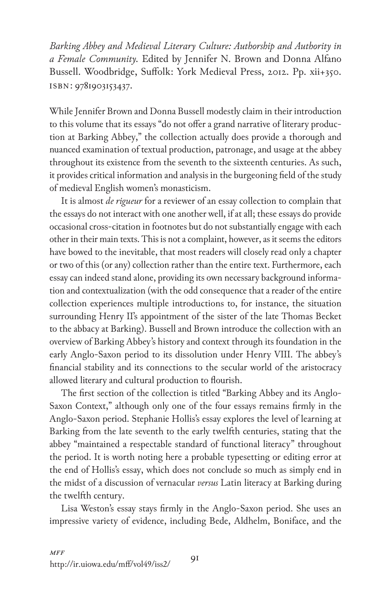*Barking Abbey and Medieval Literary Culture: Authorship and Authority in a Female Community.* Edited by Jennifer N. Brown and Donna Alfano Bussell. Woodbridge, Suffolk: York Medieval Press, 2012. Pp. xii+350. isbn: 9781903153437.

While Jennifer Brown and Donna Bussell modestly claim in their introduction to this volume that its essays "do not offer a grand narrative of literary production at Barking Abbey," the collection actually does provide a thorough and nuanced examination of textual production, patronage, and usage at the abbey throughout its existence from the seventh to the sixteenth centuries. As such, it provides critical information and analysis in the burgeoning field of the study of medieval English women's monasticism.

It is almost *de rigueur* for a reviewer of an essay collection to complain that the essays do not interact with one another well, if at all; these essays do provide occasional cross-citation in footnotes but do not substantially engage with each other in their main texts. This is not a complaint, however, as it seems the editors have bowed to the inevitable, that most readers will closely read only a chapter or two of this (or any) collection rather than the entire text. Furthermore, each essay can indeed stand alone, providing its own necessary background information and contextualization (with the odd consequence that a reader of the entire collection experiences multiple introductions to, for instance, the situation surrounding Henry II's appointment of the sister of the late Thomas Becket to the abbacy at Barking). Bussell and Brown introduce the collection with an overview of Barking Abbey's history and context through its foundation in the early Anglo-Saxon period to its dissolution under Henry VIII. The abbey's financial stability and its connections to the secular world of the aristocracy allowed literary and cultural production to flourish.

The first section of the collection is titled "Barking Abbey and its Anglo-Saxon Context," although only one of the four essays remains firmly in the Anglo-Saxon period. Stephanie Hollis's essay explores the level of learning at Barking from the late seventh to the early twelfth centuries, stating that the abbey "maintained a respectable standard of functional literacy" throughout the period. It is worth noting here a probable typesetting or editing error at the end of Hollis's essay, which does not conclude so much as simply end in the midst of a discussion of vernacular *versus* Latin literacy at Barking during the twelfth century.

Lisa Weston's essay stays firmly in the Anglo-Saxon period. She uses an impressive variety of evidence, including Bede, Aldhelm, Boniface, and the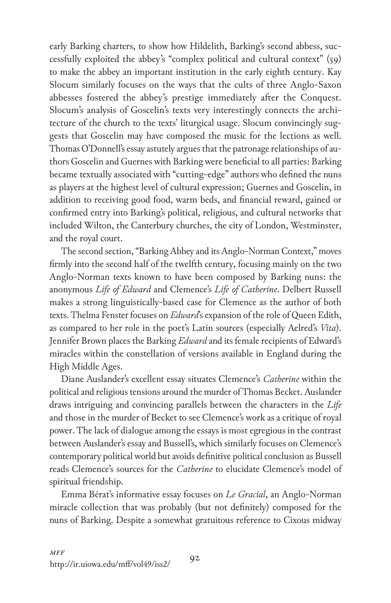early Barking charters, to show how Hildelith, Barking's second abbess, successfully exploited the abbey's "complex political and cultural context" (59) to make the abbey an important institution in the early eighth century. Kay Slocum similarly focuses on the ways that the cults of three Anglo-Saxon abbesses fostered the abbey's prestige immediately after the Conquest. Slocum's analysis of Goscelin's texts very interestingly connects the architecture of the church to the texts' liturgical usage. Slocum convincingly suggests that Goscelin may have composed the music for the lections as well. Thomas O'Donnell's essay astutely argues that the patronage relationships of authors Goscelin and Guernes with Barking were beneficial to all parties: Barking became textually associated with "cutting-edge" authors who defined the nuns as players at the highest level of cultural expression; Guernes and Goscelin, in addition to receiving good food, warm beds, and financial reward, gained or confirmed entry into Barking's political, religious, and cultural networks that included Wilton, the Canterbury churches, the city of London, Westminster, and the royal court.

The second section, "Barking Abbey and its Anglo-Norman Context," moves firmly into the second half of the twelfth century, focusing mainly on the two Anglo-Norman texts known to have been composed by Barking nuns: the anonymous *Life of Edward* and Clemence's *Life of Catherine*. Delbert Russell makes a strong linguistically-based case for Clemence as the author of both texts. Thelma Fenster focuses on *Edward*'s expansion of the role of Queen Edith, as compared to her role in the poet's Latin sources (especially Aelred's *Vita*). Jennifer Brown places the Barking *Edward* and its female recipients of Edward's miracles within the constellation of versions available in England during the High Middle Ages.

Diane Auslander's excellent essay situates Clemence's *Catherine* within the political and religious tensions around the murder of Thomas Becket. Auslander draws intriguing and convincing parallels between the characters in the *Life* and those in the murder of Becket to see Clemence's work as a critique of royal power. The lack of dialogue among the essays is most egregious in the contrast between Auslander's essay and Bussell's, which similarly focuses on Clemence's contemporary political world but avoids definitive political conclusion as Bussell reads Clemence's sources for the *Catherine* to elucidate Clemence's model of spiritual friendship.

Emma Bérat's informative essay focuses on *Le Gracial*, an Anglo-Norman miracle collection that was probably (but not definitely) composed for the nuns of Barking. Despite a somewhat gratuitous reference to Cixous midway